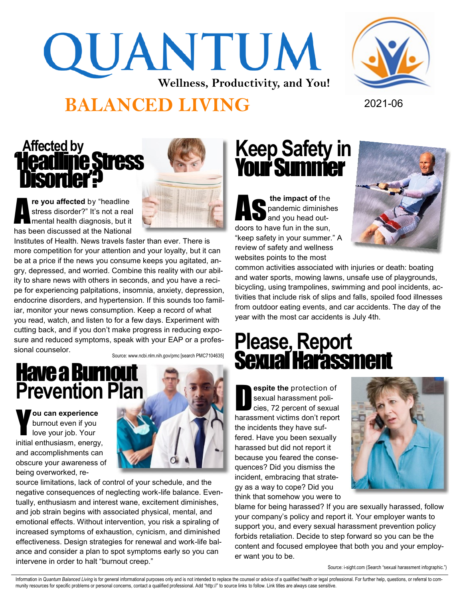## QUANTUM **Wellness, Productivity, and You!**

### **BALANCED LIVING** 2021-06

### **Affected by**  'Headline Stress Disorder?



A **re you affected** by "headline stress disorder?" It's not a real mental health diagnosis, but it has been discussed at the National

Institutes of Health. News travels faster than ever. There is more competition for your attention and your loyalty, but it can be at a price if the news you consume keeps you agitated, angry, depressed, and worried. Combine this reality with our ability to share news with others in seconds, and you have a recipe for experiencing palpitations, insomnia, anxiety, depression, endocrine disorders, and hypertension. If this sounds too familiar, monitor your news consumption. Keep a record of what you read, watch, and listen to for a few days. Experiment with cutting back, and if you don't make progress in reducing exposure and reduced symptoms, speak with your EAP or a professional counselor.

Source: www.ncbi.nlm.nih.gov/pmc [search PMC7104635]

# **Have a Burnout<br>Prevention Plan**

Y **ou can experience**  burnout even if you love your job. Your initial enthusiasm, energy, and accomplishments can obscure your awareness of being overworked, re-



source limitations, lack of control of your schedule, and the negative consequences of neglecting work-life balance. Eventually, enthusiasm and interest wane, excitement diminishes, and job strain begins with associated physical, mental, and emotional effects. Without intervention, you risk a spiraling of increased symptoms of exhaustion, cynicism, and diminished effectiveness. Design strategies for renewal and work-life balance and consider a plan to spot symptoms early so you can intervene in order to halt "burnout creep."

### **Keep Safety in**  Your Summer

**As the impact of the pandemic diminishers**<br>and you head outpandemic diminishes and you head outdoors to have fun in the sun, "keep safety in your summer." A review of safety and wellness websites points to the most



common activities associated with injuries or death: boating and water sports, mowing lawns, unsafe use of playgrounds, bicycling, using trampolines, swimming and pool incidents, activities that include risk of slips and falls, spoiled food illnesses from outdoor eating events, and car accidents. The day of the year with the most car accidents is July 4th.

### **Please, Report**  Sexual Counselor.<br>Have a Burnout Sexual Arafassment

D **espite the** protection of sexual harassment policies, 72 percent of sexual harassment victims don't report the incidents they have suffered. Have you been sexually harassed but did not report it because you feared the consequences? Did you dismiss the incident, embracing that strategy as a way to cope? Did you think that somehow you were to



blame for being harassed? If you are sexually harassed, follow your company's policy and report it. Your employer wants to support you, and every sexual harassment prevention policy forbids retaliation. Decide to step forward so you can be the content and focused employee that both you and your employer want you to be.

Source: i-sight.com (Search "sexual harassment infographic.")

Information in Quantum Balanced Living is for general informational purposes only and is not intended to replace the counsel or advice of a qualified health or legal professional. For further help, questions, or referral t munity resources for specific problems or personal concerns, contact a qualified professional. Add "http://" to source links to follow. Link titles are always case sensitive.